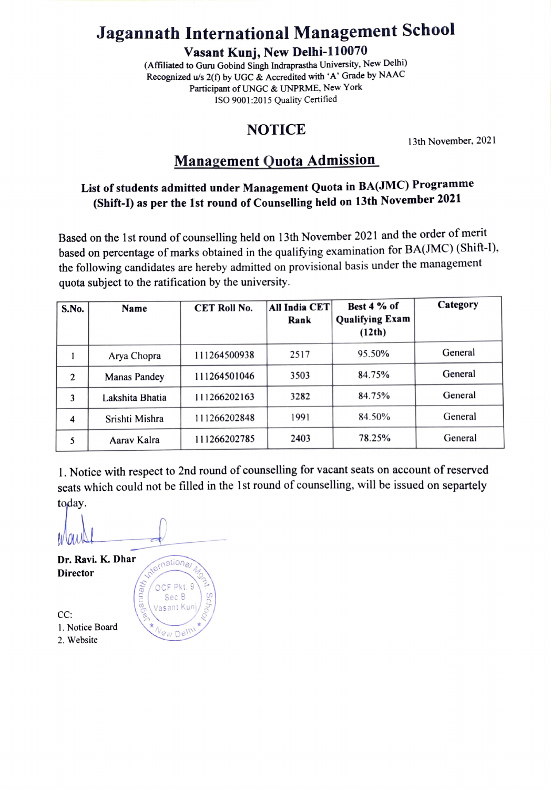## Jagannath International Management School

Vasant Kunj, New Delhi-110070

(Afiliated to Guru Gobind Singh Indraprastha University, New Delhi) Recognized u/s  $2(f)$  by UGC & Accredited with 'A' Grade by NAAC Participant of UNGC & UNPRME, New York ISO 9001:2015 Quality Certified

#### NOTICE

13th November, 2021

### Management Quota Admission

### List of students admitted under Management Quota in BA(JMC) Programme (Shift-) as per the Ist round of Counselling held on 13th November 2021

Based on the 1st round of counselling held on 13th November 2021 and the order of merit based on percentage of marks obtained in the qualifying examination for BA(JMC) (Shift-1). the following candidates are hereby admitted on provisional basis under the management quota subject to the ratification by the university.

| S.No. | <b>Name</b>         | <b>CET Roll No.</b> | All India CET<br>Rank | Best 4 % of<br><b>Qualifying Exam</b><br>(12th) | Category |
|-------|---------------------|---------------------|-----------------------|-------------------------------------------------|----------|
|       | Arya Chopra         | 111264500938        | 2517                  | 95.50%                                          | General  |
| 2     | <b>Manas Pandey</b> | 111264501046        | 3503                  | 84.75%                                          | General  |
| 3     | Lakshita Bhatia     | 111266202163        | 3282                  | 84.75%                                          | General  |
| 4     | Srishti Mishra      | 111266202848        | 1991                  | 84.50%                                          | General  |
| 5     | Aarav Kalra         | 111266202785        | 2403                  | 78.25%                                          | General  |

1. Notice with respect to 2nd round of counselling for vacant seats on account of reserved seats which could not be filled in the 1st round of counselling, will be issued on separtely today.

**Puus** 

OCF Pkt. 9  $\mathsf{Sec}\,\mathsf{B}$ 

/asant Kur

 $\vee$ 

Dr. Ravi. K. Dhar <sub>natione</sub> Director

CC: 1. Notice Board  $\star_{\mathcal{N}_{\text{ew}}\text{Del}}$ 2. Website